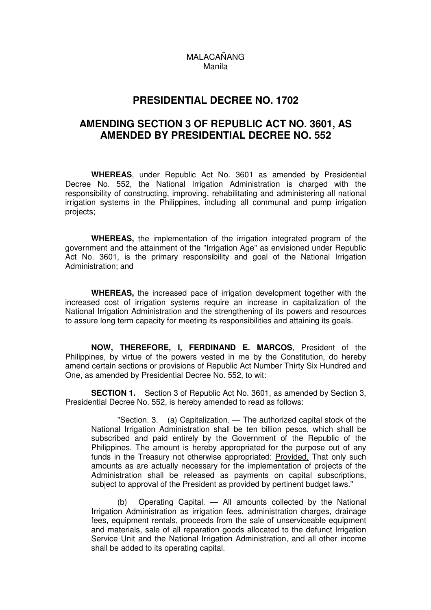## MALACAÑANG Manila

## **PRESIDENTIAL DECREE NO. 1702**

## **AMENDING SECTION 3 OF REPUBLIC ACT NO. 3601, AS AMENDED BY PRESIDENTIAL DECREE NO. 552**

**WHEREAS**, under Republic Act No. 3601 as amended by Presidential Decree No. 552, the National Irrigation Administration is charged with the responsibility of constructing, improving, rehabilitating and administering all national irrigation systems in the Philippines, including all communal and pump irrigation projects;

**WHEREAS,** the implementation of the irrigation integrated program of the government and the attainment of the "Irrigation Age" as envisioned under Republic Act No. 3601, is the primary responsibility and goal of the National Irrigation Administration; and

**WHEREAS,** the increased pace of irrigation development together with the increased cost of irrigation systems require an increase in capitalization of the National Irrigation Administration and the strengthening of its powers and resources to assure long term capacity for meeting its responsibilities and attaining its goals.

**NOW, THEREFORE, I, FERDINAND E. MARCOS**, President of the Philippines, by virtue of the powers vested in me by the Constitution, do hereby amend certain sections or provisions of Republic Act Number Thirty Six Hundred and One, as amended by Presidential Decree No. 552, to wit:

**SECTION 1.** Section 3 of Republic Act No. 3601, as amended by Section 3, Presidential Decree No. 552, is hereby amended to read as follows:

 "Section. 3. (a) Capitalization. — The authorized capital stock of the National Irrigation Administration shall be ten billion pesos, which shall be subscribed and paid entirely by the Government of the Republic of the Philippines. The amount is hereby appropriated for the purpose out of any funds in the Treasury not otherwise appropriated: Provided, That only such amounts as are actually necessary for the implementation of projects of the Administration shall be released as payments on capital subscriptions, subject to approval of the President as provided by pertinent budget laws."

Operating Capital. — All amounts collected by the National Irrigation Administration as irrigation fees, administration charges, drainage fees, equipment rentals, proceeds from the sale of unserviceable equipment and materials, sale of all reparation goods allocated to the defunct Irrigation Service Unit and the National Irrigation Administration, and all other income shall be added to its operating capital.